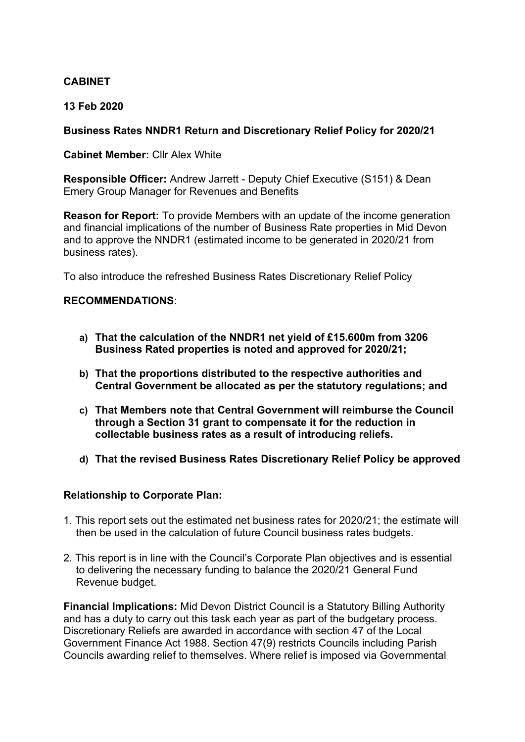## **CABINET**

### **13 Feb 2020**

### **Business Rates NNDR1 Return and Discretionary Relief Policy for 2020/21**

#### **Cabinet Member:** Cllr Alex White

**Responsible Officer:** Andrew Jarrett - Deputy Chief Executive (S151) & Dean Emery Group Manager for Revenues and Benefits

**Reason for Report:** To provide Members with an update of the income generation and financial implications of the number of Business Rate properties in Mid Devon and to approve the NNDR1 (estimated income to be generated in 2020/21 from business rates).

To also introduce the refreshed Business Rates Discretionary Relief Policy

### **RECOMMENDATIONS**:

- **a) That the calculation of the NNDR1 net yield of £15.600m from 3206 Business Rated properties is noted and approved for 2020/21;**
- **b) That the proportions distributed to the respective authorities and Central Government be allocated as per the statutory regulations; and**
- **c) That Members note that Central Government will reimburse the Council through a Section 31 grant to compensate it for the reduction in collectable business rates as a result of introducing reliefs.**
- **d) That the revised Business Rates Discretionary Relief Policy be approved**

### **Relationship to Corporate Plan:**

- 1. This report sets out the estimated net business rates for 2020/21; the estimate will then be used in the calculation of future Council business rates budgets.
- 2. This report is in line with the Council's Corporate Plan objectives and is essential to delivering the necessary funding to balance the 2020/21 General Fund Revenue budget.

**Financial Implications:** Mid Devon District Council is a Statutory Billing Authority and has a duty to carry out this task each year as part of the budgetary process. Discretionary Reliefs are awarded in accordance with section 47 of the Local Government Finance Act 1988. Section 47(9) restricts Councils including Parish Councils awarding relief to themselves. Where relief is imposed via Governmental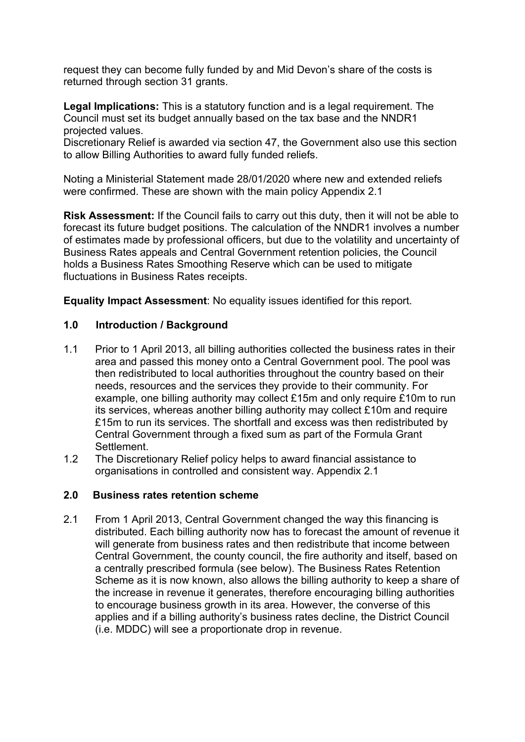request they can become fully funded by and Mid Devon's share of the costs is returned through section 31 grants.

**Legal Implications:** This is a statutory function and is a legal requirement. The Council must set its budget annually based on the tax base and the NNDR1 projected values.

Discretionary Relief is awarded via section 47, the Government also use this section to allow Billing Authorities to award fully funded reliefs.

Noting a Ministerial Statement made 28/01/2020 where new and extended reliefs were confirmed. These are shown with the main policy Appendix 2.1

**Risk Assessment:** If the Council fails to carry out this duty, then it will not be able to forecast its future budget positions. The calculation of the NNDR1 involves a number of estimates made by professional officers, but due to the volatility and uncertainty of Business Rates appeals and Central Government retention policies, the Council holds a Business Rates Smoothing Reserve which can be used to mitigate fluctuations in Business Rates receipts.

**Equality Impact Assessment**: No equality issues identified for this report.

### **1.0 Introduction / Background**

- 1.1 Prior to 1 April 2013, all billing authorities collected the business rates in their area and passed this money onto a Central Government pool. The pool was then redistributed to local authorities throughout the country based on their needs, resources and the services they provide to their community. For example, one billing authority may collect £15m and only require £10m to run its services, whereas another billing authority may collect £10m and require £15m to run its services. The shortfall and excess was then redistributed by Central Government through a fixed sum as part of the Formula Grant Settlement.
- 1.2 The Discretionary Relief policy helps to award financial assistance to organisations in controlled and consistent way. Appendix 2.1

### **2.0 Business rates retention scheme**

2.1 From 1 April 2013, Central Government changed the way this financing is distributed. Each billing authority now has to forecast the amount of revenue it will generate from business rates and then redistribute that income between Central Government, the county council, the fire authority and itself, based on a centrally prescribed formula (see below). The Business Rates Retention Scheme as it is now known, also allows the billing authority to keep a share of the increase in revenue it generates, therefore encouraging billing authorities to encourage business growth in its area. However, the converse of this applies and if a billing authority's business rates decline, the District Council (i.e. MDDC) will see a proportionate drop in revenue.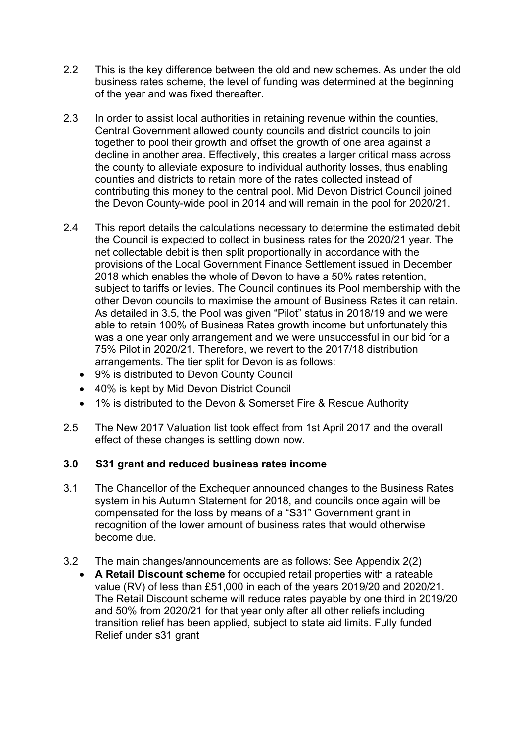- 2.2 This is the key difference between the old and new schemes. As under the old business rates scheme, the level of funding was determined at the beginning of the year and was fixed thereafter.
- 2.3 In order to assist local authorities in retaining revenue within the counties, Central Government allowed county councils and district councils to join together to pool their growth and offset the growth of one area against a decline in another area. Effectively, this creates a larger critical mass across the county to alleviate exposure to individual authority losses, thus enabling counties and districts to retain more of the rates collected instead of contributing this money to the central pool. Mid Devon District Council joined the Devon County-wide pool in 2014 and will remain in the pool for 2020/21.
- 2.4 This report details the calculations necessary to determine the estimated debit the Council is expected to collect in business rates for the 2020/21 year. The net collectable debit is then split proportionally in accordance with the provisions of the Local Government Finance Settlement issued in December 2018 which enables the whole of Devon to have a 50% rates retention, subject to tariffs or levies. The Council continues its Pool membership with the other Devon councils to maximise the amount of Business Rates it can retain. As detailed in 3.5, the Pool was given "Pilot" status in 2018/19 and we were able to retain 100% of Business Rates growth income but unfortunately this was a one year only arrangement and we were unsuccessful in our bid for a 75% Pilot in 2020/21. Therefore, we revert to the 2017/18 distribution arrangements. The tier split for Devon is as follows:
	- 9% is distributed to Devon County Council
	- 40% is kept by Mid Devon District Council
	- 1% is distributed to the Devon & Somerset Fire & Rescue Authority
- 2.5 The New 2017 Valuation list took effect from 1st April 2017 and the overall effect of these changes is settling down now.

# **3.0 S31 grant and reduced business rates income**

- 3.1 The Chancellor of the Exchequer announced changes to the Business Rates system in his Autumn Statement for 2018, and councils once again will be compensated for the loss by means of a "S31" Government grant in recognition of the lower amount of business rates that would otherwise become due.
- 3.2 The main changes/announcements are as follows: See Appendix 2(2)
	- **A Retail Discount scheme** for occupied retail properties with a rateable value (RV) of less than £51,000 in each of the years 2019/20 and 2020/21. The Retail Discount scheme will reduce rates payable by one third in 2019/20 and 50% from 2020/21 for that year only after all other reliefs including transition relief has been applied, subject to state aid limits. Fully funded Relief under s31 grant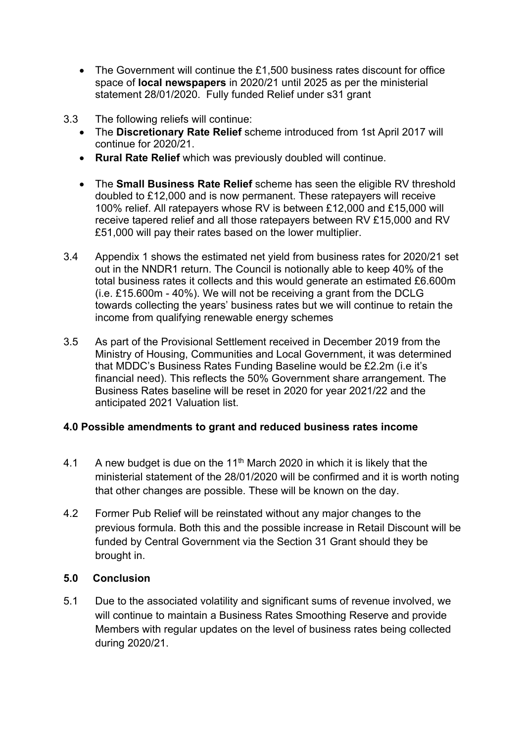- The Government will continue the £1,500 business rates discount for office space of **local newspapers** in 2020/21 until 2025 as per the ministerial statement 28/01/2020. Fully funded Relief under s31 grant
- 3.3 The following reliefs will continue:
	- The **Discretionary Rate Relief** scheme introduced from 1st April 2017 will continue for 2020/21.
	- **Rural Rate Relief** which was previously doubled will continue.
	- The **Small Business Rate Relief** scheme has seen the eligible RV threshold doubled to £12,000 and is now permanent. These ratepayers will receive 100% relief. All ratepayers whose RV is between £12,000 and £15,000 will receive tapered relief and all those ratepayers between RV £15,000 and RV £51,000 will pay their rates based on the lower multiplier.
- 3.4 Appendix 1 shows the estimated net yield from business rates for 2020/21 set out in the NNDR1 return. The Council is notionally able to keep 40% of the total business rates it collects and this would generate an estimated £6.600m (i.e. £15.600m - 40%). We will not be receiving a grant from the DCLG towards collecting the years' business rates but we will continue to retain the income from qualifying renewable energy schemes
- 3.5 As part of the Provisional Settlement received in December 2019 from the Ministry of Housing, Communities and Local Government, it was determined that MDDC's Business Rates Funding Baseline would be £2.2m (i.e it's financial need). This reflects the 50% Government share arrangement. The Business Rates baseline will be reset in 2020 for year 2021/22 and the anticipated 2021 Valuation list.

# **4.0 Possible amendments to grant and reduced business rates income**

- 4.1 A new budget is due on the 11<sup>th</sup> March 2020 in which it is likely that the ministerial statement of the 28/01/2020 will be confirmed and it is worth noting that other changes are possible. These will be known on the day.
- 4.2 Former Pub Relief will be reinstated without any major changes to the previous formula. Both this and the possible increase in Retail Discount will be funded by Central Government via the Section 31 Grant should they be brought in.

# **5.0 Conclusion**

5.1 Due to the associated volatility and significant sums of revenue involved, we will continue to maintain a Business Rates Smoothing Reserve and provide Members with regular updates on the level of business rates being collected during 2020/21.